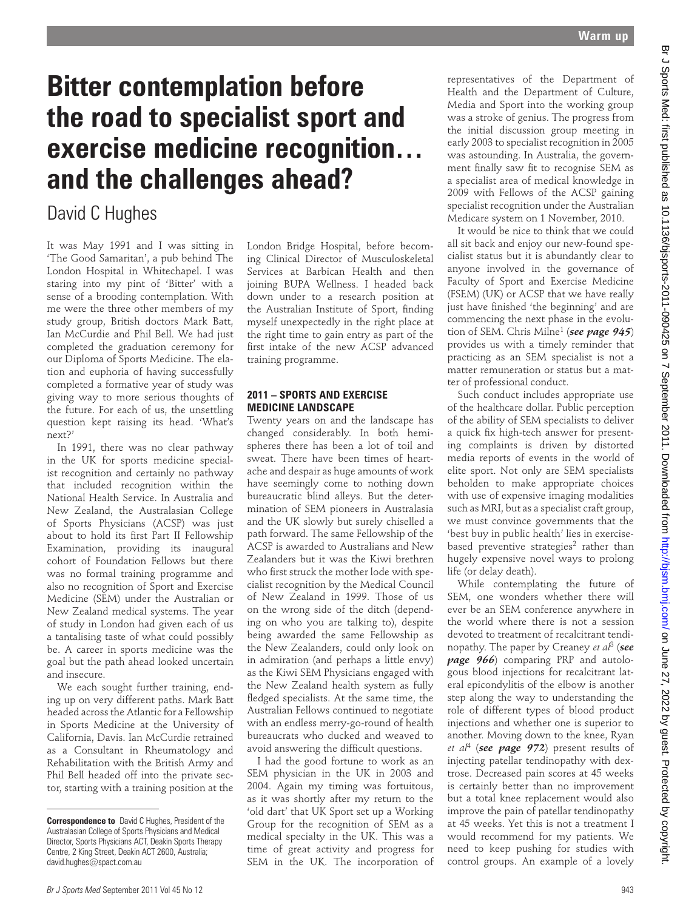# **Bitter contemplation before the road to specialist sport and exercise medicine recognition… and the challenges ahead?**

## David C Hughes

It was May 1991 and I was sitting in 'The Good Samaritan', a pub behind The London Hospital in Whitechapel. I was staring into my pint of 'Bitter' with a sense of a brooding contemplation. With me were the three other members of my study group, British doctors Mark Batt, Ian McCurdie and Phil Bell. We had just completed the graduation ceremony for our Diploma of Sports Medicine. The elation and euphoria of having successfully completed a formative year of study was giving way to more serious thoughts of the future. For each of us, the unsettling question kept raising its head. 'What's next?'

In 1991, there was no clear pathway in the UK for sports medicine specialist recognition and certainly no pathway that included recognition within the National Health Service. In Australia and New Zealand, the Australasian College of Sports Physicians (ACSP) was just about to hold its first Part II Fellowship Examination, providing its inaugural cohort of Foundation Fellows but there was no formal training programme and also no recognition of Sport and Exercise Medicine (SEM) under the Australian or New Zealand medical systems. The year of study in London had given each of us a tantalising taste of what could possibly be. A career in sports medicine was the goal but the path ahead looked uncertain and insecure.

We each sought further training, ending up on very different paths. Mark Batt headed across the Atlantic for a Fellowship in Sports Medicine at the University of California, Davis. Ian McCurdie retrained as a Consultant in Rheumatology and Rehabilitation with the British Army and Phil Bell headed off into the private sector, starting with a training position at the London Bridge Hospital, before becoming Clinical Director of Musculoskeletal Services at Barbican Health and then joining BUPA Wellness. I headed back down under to a research position at the Australian Institute of Sport, finding myself unexpectedly in the right place at the right time to gain entry as part of the first intake of the new ACSP advanced training programme.

### **2011 – SPORTS AND EXERCISE MEDICINE LANDSCAPE**

Twenty years on and the landscape has changed considerably. In both hemispheres there has been a lot of toil and sweat. There have been times of heartache and despair as huge amounts of work have seemingly come to nothing down bureaucratic blind alleys. But the determination of SEM pioneers in Australasia and the UK slowly but surely chiselled a path forward. The same Fellowship of the ACSP is awarded to Australians and New Zealanders but it was the Kiwi brethren who first struck the mother lode with specialist recognition by the Medical Council of New Zealand in 1999. Those of us on the wrong side of the ditch (depending on who you are talking to), despite being awarded the same Fellowship as the New Zealanders, could only look on in admiration (and perhaps a little envy) as the Kiwi SEM Physicians engaged with the New Zealand health system as fully fledged specialists. At the same time, the Australian Fellows continued to negotiate with an endless merry-go-round of health bureaucrats who ducked and weaved to avoid answering the difficult questions. Bitter contemplation before  $\alpha$  and  $\alpha$  specialist sport and  $\alpha$  specialist sport and  $\alpha$  specialist sport and  $\alpha$  specialist sport and  $\alpha$  specialist sport and  $\alpha$  specialist sport and  $\alpha$  specialist sport and  $\$ 

I had the good fortune to work as an SEM physician in the UK in 2003 and 2004. Again my timing was fortuitous, as it was shortly after my return to the 'old dart' that UK Sport set up a Working Group for the recognition of SEM as a medical specialty in the UK. This was a time of great activity and progress for SEM in the UK. The incorporation of

representatives of the Department of Health and the Department of Culture, Media and Sport into the working group was a stroke of genius. The progress from the initial discussion group meeting in early 2003 to specialist recognition in 2005 was astounding. In Australia, the government finally saw fit to recognise SEM as a specialist area of medical knowledge in 2009 with Fellows of the ACSP gaining specialist recognition under the Australian Medicare system on 1 November, 2010.

It would be nice to think that we could all sit back and enjoy our new-found specialist status but it is abundantly clear to anyone involved in the governance of Faculty of Sport and Exercise Medicine (FSEM) (UK) or ACSP that we have really just have finished 'the beginning' and are commencing the next phase in the evolution of SEM. Chris Milne1 (*see page 945*) provides us with a timely reminder that practicing as an SEM specialist is not a matter remuneration or status but a matter of professional conduct.

Such conduct includes appropriate use of the healthcare dollar. Public perception of the ability of SEM specialists to deliver a quick fix high-tech answer for presenting complaints is driven by distorted media reports of events in the world of elite sport. Not only are SEM specialists beholden to make appropriate choices with use of expensive imaging modalities such as MRI, but as a specialist craft group, we must convince governments that the 'best buy in public health' lies in exercisebased preventive strategies<sup>2</sup> rather than hugely expensive novel ways to prolong life (or delay death).

While contemplating the future of SEM, one wonders whether there will ever be an SEM conference anywhere in the world where there is not a session devoted to treatment of recalcitrant tendinopathy. The paper by Creaney *et al*3 (*see page 966*) comparing PRP and autologous blood injections for recalcitrant lateral epicondylitis of the elbow is another step along the way to understanding the role of different types of blood product injections and whether one is superior to another. Moving down to the knee, Ryan *et al*4 (*see page 972*) present results of injecting patellar tendinopathy with dextrose. Decreased pain scores at 45 weeks is certainly better than no improvement but a total knee replacement would also improve the pain of patellar tendinopathy at 45 weeks. Yet this is not a treatment I would recommend for my patients. We need to keep pushing for studies with control groups. An example of a lovely

**Correspondence to** David C Hughes, President of the Australasian College of Sports Physicians and Medical Director, Sports Physicians ACT, Deakin Sports Therapy Centre, 2 King Street, Deakin ACT 2600, Australia; david.hughes@spact.com.au